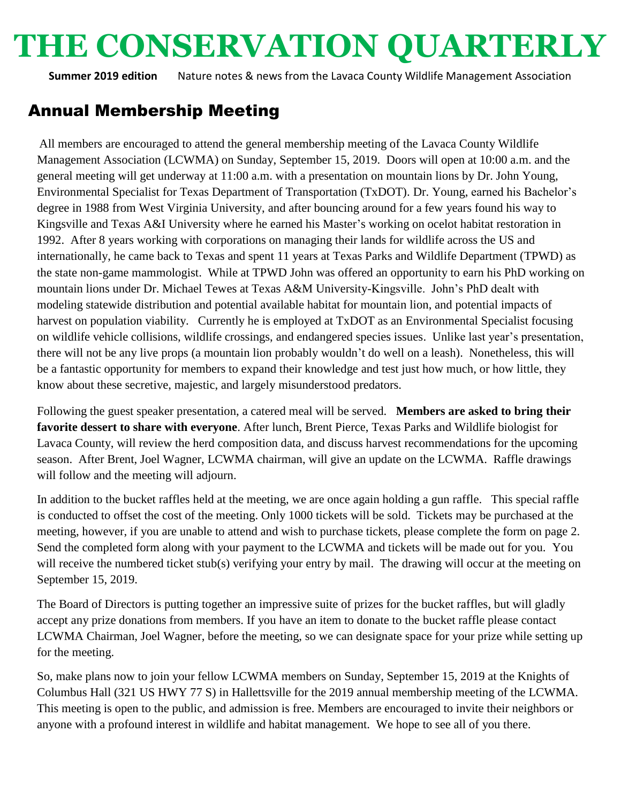# **THE CONSERVATION QUARTERLY**

**Summer 2019 edition** Nature notes & news from the Lavaca County Wildlife Management Association

## Annual Membership Meeting

All members are encouraged to attend the general membership meeting of the Lavaca County Wildlife Management Association (LCWMA) on Sunday, September 15, 2019. Doors will open at 10:00 a.m. and the general meeting will get underway at 11:00 a.m. with a presentation on mountain lions by Dr. John Young, Environmental Specialist for Texas Department of Transportation (TxDOT). Dr. Young, earned his Bachelor's degree in 1988 from West Virginia University, and after bouncing around for a few years found his way to Kingsville and Texas A&I University where he earned his Master's working on ocelot habitat restoration in 1992. After 8 years working with corporations on managing their lands for wildlife across the US and internationally, he came back to Texas and spent 11 years at Texas Parks and Wildlife Department (TPWD) as the state non-game mammologist. While at TPWD John was offered an opportunity to earn his PhD working on mountain lions under Dr. Michael Tewes at Texas A&M University-Kingsville. John's PhD dealt with modeling statewide distribution and potential available habitat for mountain lion, and potential impacts of harvest on population viability. Currently he is employed at TxDOT as an Environmental Specialist focusing on wildlife vehicle collisions, wildlife crossings, and endangered species issues. Unlike last year's presentation, there will not be any live props (a mountain lion probably wouldn't do well on a leash). Nonetheless, this will be a fantastic opportunity for members to expand their knowledge and test just how much, or how little, they know about these secretive, majestic, and largely misunderstood predators.

Following the guest speaker presentation, a catered meal will be served. **Members are asked to bring their favorite dessert to share with everyone**. After lunch, Brent Pierce, Texas Parks and Wildlife biologist for Lavaca County, will review the herd composition data, and discuss harvest recommendations for the upcoming season. After Brent, Joel Wagner, LCWMA chairman, will give an update on the LCWMA. Raffle drawings will follow and the meeting will adjourn.

In addition to the bucket raffles held at the meeting, we are once again holding a gun raffle. This special raffle is conducted to offset the cost of the meeting. Only 1000 tickets will be sold. Tickets may be purchased at the meeting, however, if you are unable to attend and wish to purchase tickets, please complete the form on page 2. Send the completed form along with your payment to the LCWMA and tickets will be made out for you. You will receive the numbered ticket stub(s) verifying your entry by mail. The drawing will occur at the meeting on September 15, 2019.

The Board of Directors is putting together an impressive suite of prizes for the bucket raffles, but will gladly accept any prize donations from members. If you have an item to donate to the bucket raffle please contact LCWMA Chairman, Joel Wagner, before the meeting, so we can designate space for your prize while setting up for the meeting.

So, make plans now to join your fellow LCWMA members on Sunday, September 15, 2019 at the Knights of Columbus Hall (321 US HWY 77 S) in Hallettsville for the 2019 annual membership meeting of the LCWMA. This meeting is open to the public, and admission is free. Members are encouraged to invite their neighbors or anyone with a profound interest in wildlife and habitat management. We hope to see all of you there.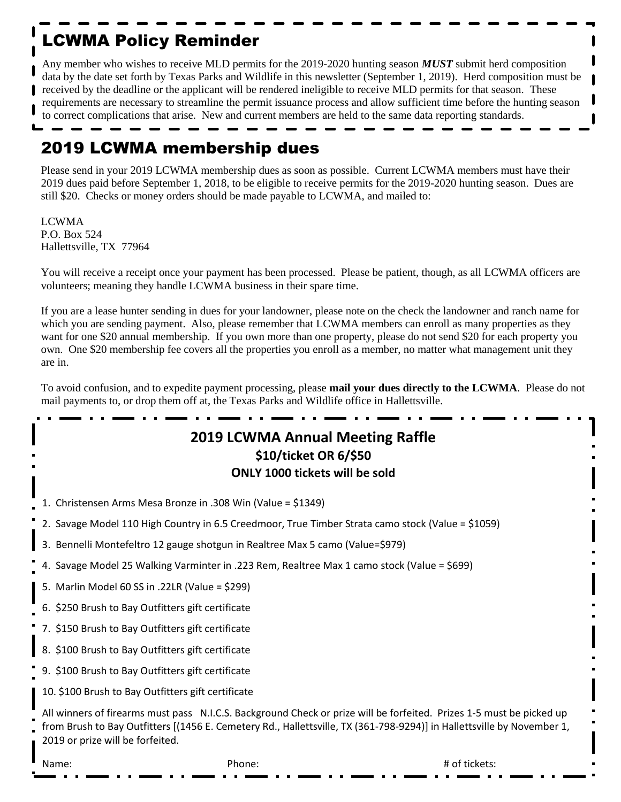# LCWMA Policy Reminder

Any member who wishes to receive MLD permits for the 2019-2020 hunting season *MUST* submit herd composition data by the date set forth by Texas Parks and Wildlife in this newsletter (September 1, 2019). Herd composition must be received by the deadline or the applicant will be rendered ineligible to receive MLD permits for that season. These requirements are necessary to streamline the permit issuance process and allow sufficient time before the hunting season to correct complications that arise. New and current members are held to the same data reporting standards.

# 2019 LCWMA membership dues

Please send in your 2019 LCWMA membership dues as soon as possible. Current LCWMA members must have their 2019 dues paid before September 1, 2018, to be eligible to receive permits for the 2019-2020 hunting season. Dues are still \$20. Checks or money orders should be made payable to LCWMA, and mailed to:

LCWMA P.O. Box 524 Hallettsville, TX 77964

You will receive a receipt once your payment has been processed. Please be patient, though, as all LCWMA officers are volunteers; meaning they handle LCWMA business in their spare time.

If you are a lease hunter sending in dues for your landowner, please note on the check the landowner and ranch name for which you are sending payment. Also, please remember that LCWMA members can enroll as many properties as they want for one \$20 annual membership. If you own more than one property, please do not send \$20 for each property you own. One \$20 membership fee covers all the properties you enroll as a member, no matter what management unit they are in.

To avoid confusion, and to expedite payment processing, please **mail your dues directly to the LCWMA**. Please do not mail payments to, or drop them off at, the Texas Parks and Wildlife office in Hallettsville.

#### **2019 LCWMA Annual Meeting Raffle \$10/ticket OR 6/\$50 ONLY 1000 tickets will be sold**

- 1. Christensen Arms Mesa Bronze in .308 Win (Value = \$1349)
- 2. Savage Model 110 High Country in 6.5 Creedmoor, True Timber Strata camo stock (Value = \$1059)
- 3. Bennelli Montefeltro 12 gauge shotgun in Realtree Max 5 camo (Value=\$979)
- 4. Savage Model 25 Walking Varminter in .223 Rem, Realtree Max 1 camo stock (Value = \$699)
- 5. Marlin Model 60 SS in .22LR (Value = \$299)
- 6. \$250 Brush to Bay Outfitters gift certificate
- 7. \$150 Brush to Bay Outfitters gift certificate
- 8. \$100 Brush to Bay Outfitters gift certificate
- 9. \$100 Brush to Bay Outfitters gift certificate
- 10. \$100 Brush to Bay Outfitters gift certificate

All winners of firearms must pass N.I.C.S. Background Check or prize will be forfeited. Prizes 1-5 must be picked up from Brush to Bay Outfitters [(1456 E. Cemetery Rd., Hallettsville, TX (361-798-9294)] in Hallettsville by November 1, 2019 or prize will be forfeited.

Name: # of tickets: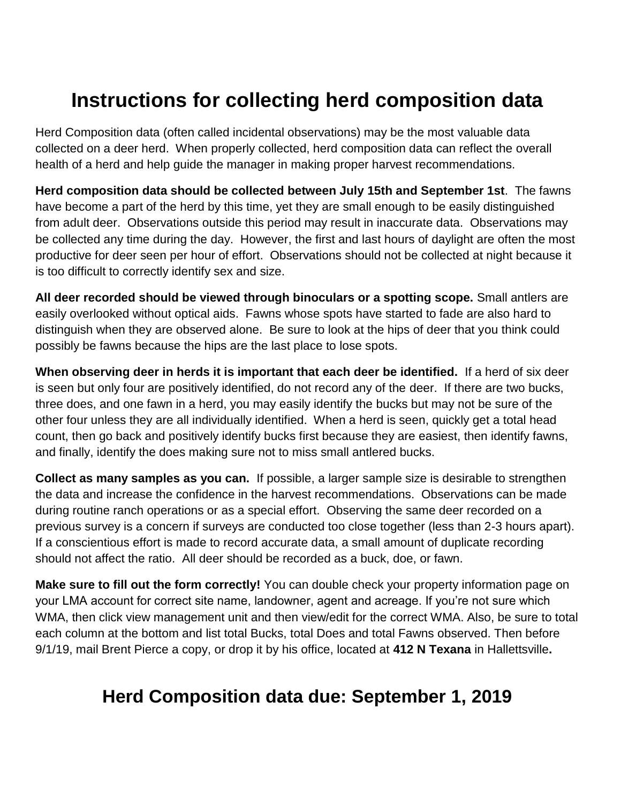# **Instructions for collecting herd composition data**

Herd Composition data (often called incidental observations) may be the most valuable data collected on a deer herd. When properly collected, herd composition data can reflect the overall health of a herd and help guide the manager in making proper harvest recommendations.

**Herd composition data should be collected between July 15th and September 1st**. The fawns have become a part of the herd by this time, yet they are small enough to be easily distinguished from adult deer. Observations outside this period may result in inaccurate data. Observations may be collected any time during the day. However, the first and last hours of daylight are often the most productive for deer seen per hour of effort. Observations should not be collected at night because it is too difficult to correctly identify sex and size.

**All deer recorded should be viewed through binoculars or a spotting scope.** Small antlers are easily overlooked without optical aids. Fawns whose spots have started to fade are also hard to distinguish when they are observed alone. Be sure to look at the hips of deer that you think could possibly be fawns because the hips are the last place to lose spots.

**When observing deer in herds it is important that each deer be identified.** If a herd of six deer is seen but only four are positively identified, do not record any of the deer. If there are two bucks, three does, and one fawn in a herd, you may easily identify the bucks but may not be sure of the other four unless they are all individually identified. When a herd is seen, quickly get a total head count, then go back and positively identify bucks first because they are easiest, then identify fawns, and finally, identify the does making sure not to miss small antlered bucks.

**Collect as many samples as you can.** If possible, a larger sample size is desirable to strengthen the data and increase the confidence in the harvest recommendations. Observations can be made during routine ranch operations or as a special effort. Observing the same deer recorded on a previous survey is a concern if surveys are conducted too close together (less than 2-3 hours apart). If a conscientious effort is made to record accurate data, a small amount of duplicate recording should not affect the ratio. All deer should be recorded as a buck, doe, or fawn.

**Make sure to fill out the form correctly!** You can double check your property information page on your LMA account for correct site name, landowner, agent and acreage. If you're not sure which WMA, then click view management unit and then view/edit for the correct WMA. Also, be sure to total each column at the bottom and list total Bucks, total Does and total Fawns observed. Then before 9/1/19, mail Brent Pierce a copy, or drop it by his office, located at **412 N Texana** in Hallettsville**.**

# **Herd Composition data due: September 1, 2019**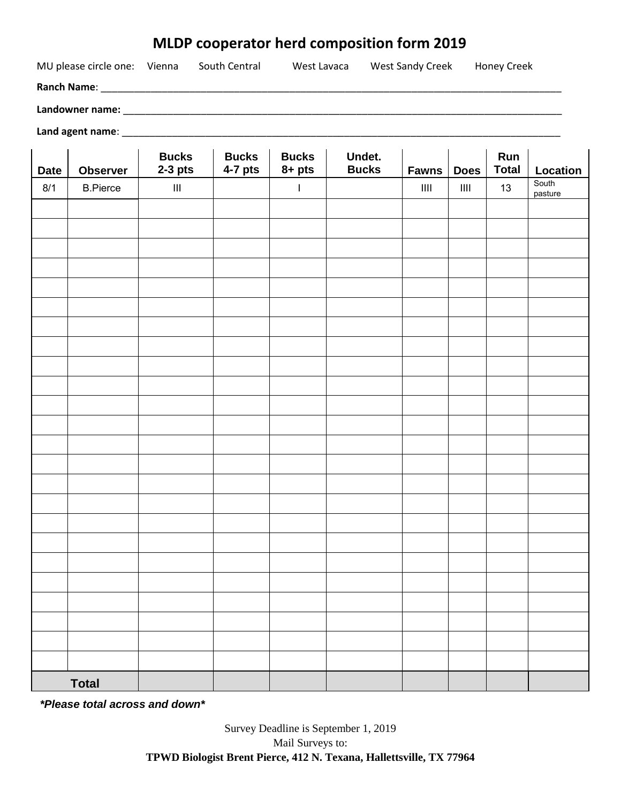## **MLDP cooperator herd composition form 2019**

| MU please circle one: Vienna | South Central | West Lavaca | <b>West Sandy Creek</b> | <b>Honey Creek</b> |
|------------------------------|---------------|-------------|-------------------------|--------------------|
| <b>Ranch Name:</b>           |               |             |                         |                    |
| Landowner name:              |               |             |                         |                    |
| Land agent name:             |               |             |                         |                    |

| <b>Date</b> | <b>Observer</b> | <b>Bucks</b><br>$2-3$ pts          | <b>Bucks</b><br>$4-7$ pts | <b>Bucks</b><br>$8 + pts$ | Undet.<br><b>Bucks</b> | <b>Fawns</b>                                     | <b>Does</b>                                      | Run<br><b>Total</b> | Location         |
|-------------|-----------------|------------------------------------|---------------------------|---------------------------|------------------------|--------------------------------------------------|--------------------------------------------------|---------------------|------------------|
| 8/1         | <b>B.Pierce</b> | $\ensuremath{\mathsf{III}}\xspace$ |                           | $\mathsf I$               |                        | $\ensuremath{\mathsf{H}}\ensuremath{\mathsf{H}}$ | $\ensuremath{\mathsf{H}}\ensuremath{\mathsf{H}}$ | 13                  | South<br>pasture |
|             |                 |                                    |                           |                           |                        |                                                  |                                                  |                     |                  |
|             |                 |                                    |                           |                           |                        |                                                  |                                                  |                     |                  |
|             |                 |                                    |                           |                           |                        |                                                  |                                                  |                     |                  |
|             |                 |                                    |                           |                           |                        |                                                  |                                                  |                     |                  |
|             |                 |                                    |                           |                           |                        |                                                  |                                                  |                     |                  |
|             |                 |                                    |                           |                           |                        |                                                  |                                                  |                     |                  |
|             |                 |                                    |                           |                           |                        |                                                  |                                                  |                     |                  |
|             |                 |                                    |                           |                           |                        |                                                  |                                                  |                     |                  |
|             |                 |                                    |                           |                           |                        |                                                  |                                                  |                     |                  |
|             |                 |                                    |                           |                           |                        |                                                  |                                                  |                     |                  |
|             |                 |                                    |                           |                           |                        |                                                  |                                                  |                     |                  |
|             |                 |                                    |                           |                           |                        |                                                  |                                                  |                     |                  |
|             |                 |                                    |                           |                           |                        |                                                  |                                                  |                     |                  |
|             |                 |                                    |                           |                           |                        |                                                  |                                                  |                     |                  |
|             |                 |                                    |                           |                           |                        |                                                  |                                                  |                     |                  |
|             |                 |                                    |                           |                           |                        |                                                  |                                                  |                     |                  |
|             |                 |                                    |                           |                           |                        |                                                  |                                                  |                     |                  |
|             |                 |                                    |                           |                           |                        |                                                  |                                                  |                     |                  |
|             |                 |                                    |                           |                           |                        |                                                  |                                                  |                     |                  |
|             |                 |                                    |                           |                           |                        |                                                  |                                                  |                     |                  |
|             |                 |                                    |                           |                           |                        |                                                  |                                                  |                     |                  |
|             |                 |                                    |                           |                           |                        |                                                  |                                                  |                     |                  |
|             |                 |                                    |                           |                           |                        |                                                  |                                                  |                     |                  |
|             |                 |                                    |                           |                           |                        |                                                  |                                                  |                     |                  |
|             | <b>Total</b>    |                                    |                           |                           |                        |                                                  |                                                  |                     |                  |

*\*Please total across and down\** 

Survey Deadline is September 1, 2019 Mail Surveys to: **TPWD Biologist Brent Pierce, 412 N. Texana, Hallettsville, TX 77964**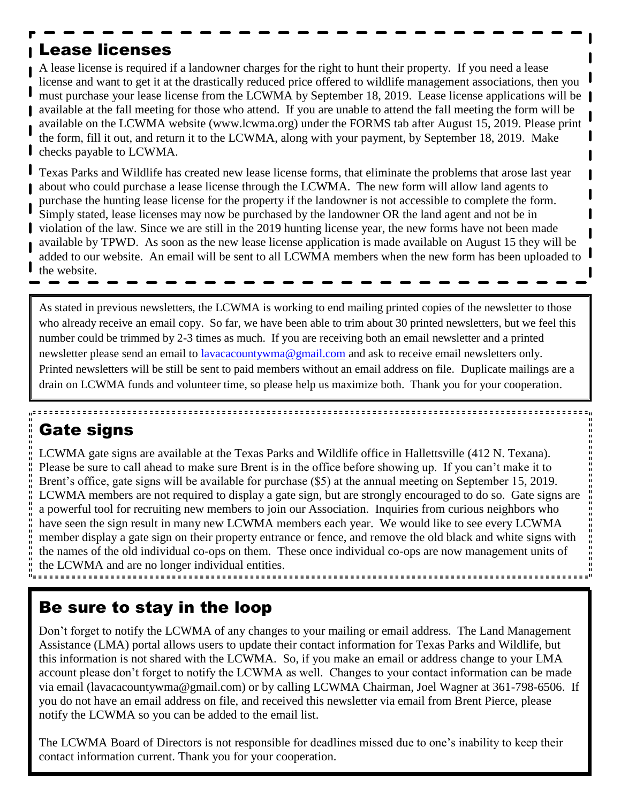### Lease licenses

A lease license is required if a landowner charges for the right to hunt their property. If you need a lease license and want to get it at the drastically reduced price offered to wildlife management associations, then you must purchase your lease license from the LCWMA by September 18, 2019. Lease license applications will be available at the fall meeting for those who attend. If you are unable to attend the fall meeting the form will be available on the LCWMA website (www.lcwma.org) under the FORMS tab after August 15, 2019. Please print the form, fill it out, and return it to the LCWMA, along with your payment, by September 18, 2019. Make checks payable to LCWMA.

Texas Parks and Wildlife has created new lease license forms, that eliminate the problems that arose last year about who could purchase a lease license through the LCWMA. The new form will allow land agents to purchase the hunting lease license for the property if the landowner is not accessible to complete the form. Simply stated, lease licenses may now be purchased by the landowner OR the land agent and not be in violation of the law. Since we are still in the 2019 hunting license year, the new forms have not been made available by TPWD. As soon as the new lease license application is made available on August 15 they will be added to our website. An email will be sent to all LCWMA members when the new form has been uploaded to the website.

As stated in previous newsletters, the LCWMA is working to end mailing printed copies of the newsletter to those who already receive an email copy. So far, we have been able to trim about 30 printed newsletters, but we feel this number could be trimmed by 2-3 times as much. If you are receiving both an email newsletter and a printed newsletter please send an email to **lavacacountywma@gmail.com** and ask to receive email newsletters only. Printed newsletters will be still be sent to paid members without an email address on file. Duplicate mailings are a drain on LCWMA funds and volunteer time, so please help us maximize both. Thank you for your cooperation.

# Gate signs

LCWMA gate signs are available at the Texas Parks and Wildlife office in Hallettsville (412 N. Texana). Please be sure to call ahead to make sure Brent is in the office before showing up. If you can't make it to Brent's office, gate signs will be available for purchase (\$5) at the annual meeting on September 15, 2019. LCWMA members are not required to display a gate sign, but are strongly encouraged to do so. Gate signs are a powerful tool for recruiting new members to join our Association. Inquiries from curious neighbors who have seen the sign result in many new LCWMA members each year. We would like to see every LCWMA member display a gate sign on their property entrance or fence, and remove the old black and white signs with the names of the old individual co-ops on them. These once individual co-ops are now management units of the LCWMA and are no longer individual entities. 

# Be sure to stay in the loop

Don't forget to notify the LCWMA of any changes to your mailing or email address. The Land Management Assistance (LMA) portal allows users to update their contact information for Texas Parks and Wildlife, but this information is not shared with the LCWMA. So, if you make an email or address change to your LMA account please don't forget to notify the LCWMA as well. Changes to your contact information can be made via email (lavacacountywma@gmail.com) or by calling LCWMA Chairman, Joel Wagner at 361-798-6506. If you do not have an email address on file, and received this newsletter via email from Brent Pierce, please notify the LCWMA so you can be added to the email list.

The LCWMA Board of Directors is not responsible for deadlines missed due to one's inability to keep their contact information current. Thank you for your cooperation.